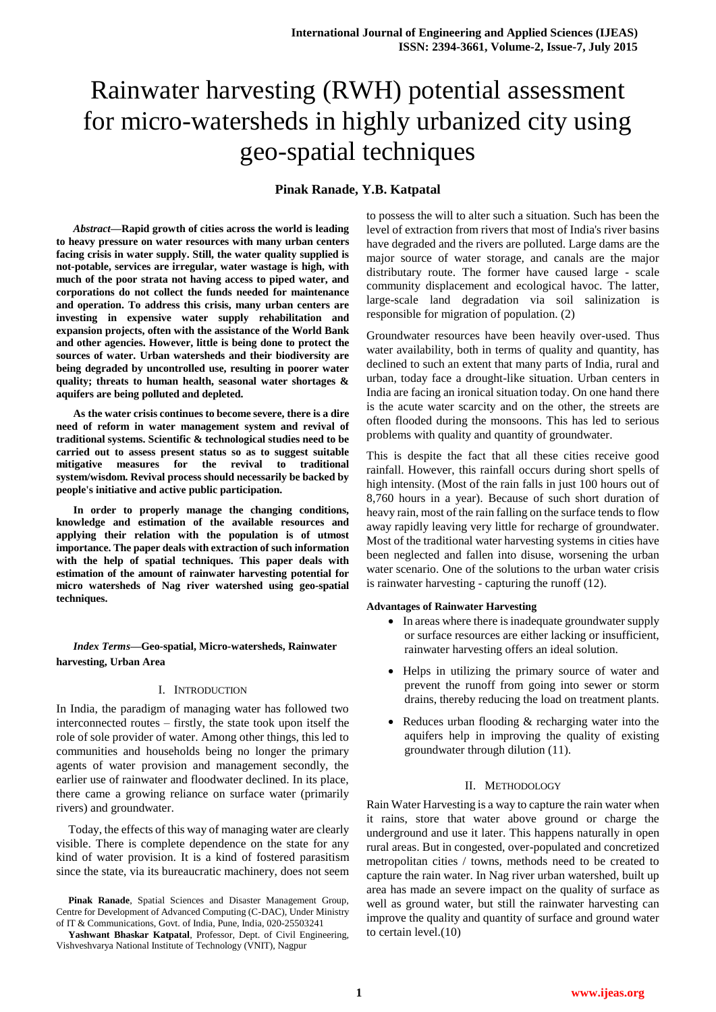# Rainwater harvesting (RWH) potential assessment for micro-watersheds in highly urbanized city using geo-spatial techniques

# **Pinak Ranade, Y.B. Katpatal**

*Abstract***—Rapid growth of cities across the world is leading to heavy pressure on water resources with many urban centers facing crisis in water supply. Still, the water quality supplied is not-potable, services are irregular, water wastage is high, with much of the poor strata not having access to piped water, and corporations do not collect the funds needed for maintenance and operation. To address this crisis, many urban centers are investing in expensive water supply rehabilitation and expansion projects, often with the assistance of the World Bank and other agencies. However, little is being done to protect the sources of water. Urban watersheds and their biodiversity are being degraded by uncontrolled use, resulting in poorer water quality; threats to human health, seasonal water shortages & aquifers are being polluted and depleted.** 

**As the water crisis continues to become severe, there is a dire need of reform in water management system and revival of traditional systems. Scientific & technological studies need to be carried out to assess present status so as to suggest suitable mitigative measures for the revival to traditional system/wisdom. Revival process should necessarily be backed by people's initiative and active public participation.**

**In order to properly manage the changing conditions, knowledge and estimation of the available resources and applying their relation with the population is of utmost importance. The paper deals with extraction of such information with the help of spatial techniques. This paper deals with estimation of the amount of rainwater harvesting potential for micro watersheds of Nag river watershed using geo-spatial techniques.** 

*Index Terms***—Geo-spatial, Micro-watersheds, Rainwater harvesting, Urban Area**

#### I. INTRODUCTION

In India, the paradigm of managing water has followed two interconnected routes – firstly, the state took upon itself the role of sole provider of water. Among other things, this led to communities and households being no longer the primary agents of water provision and management secondly, the earlier use of rainwater and floodwater declined. In its place, there came a growing reliance on surface water (primarily rivers) and groundwater.

Today, the effects of this way of managing water are clearly visible. There is complete dependence on the state for any kind of water provision. It is a kind of fostered parasitism since the state, via its bureaucratic machinery, does not seem

**Pinak Ranade**, Spatial Sciences and Disaster Management Group, Centre for Development of Advanced Computing (C-DAC), Under Ministry of IT & Communications, Govt. of India, Pune, India, 020-25503241

**Yashwant Bhaskar Katpatal**, Professor, Dept. of Civil Engineering, Vishveshvarya National Institute of Technology (VNIT), Nagpur

to possess the will to alter such a situation. Such has been the level of extraction from rivers that most of India's river basins have degraded and the rivers are polluted. Large dams are the major source of water storage, and canals are the major distributary route. The former have caused large - scale community displacement and ecological havoc. The latter, large-scale land degradation via soil salinization is responsible for migration of population. (2)

Groundwater resources have been heavily over-used. Thus water availability, both in terms of quality and quantity, has declined to such an extent that many parts of India, rural and urban, today face a drought-like situation. Urban centers in India are facing an ironical situation today. On one hand there is the acute water [scarcity](http://www.rainwaterharvesting.org/Crisis/Urbanwater-scenario.htm) and on the other, the streets are often flooded during the monsoons. This has led to serious problems with quality and quantity of groundwater.

This is despite the fact that all these cities receive good [rainfall.](javascript:) However, this rainfall occurs during short spells of high intensity. (Most of the rain falls in just 100 hours out of 8,760 hours in a year). Because of such short duration of heavy rain, most of the rain falling on the surface tends to flow away rapidly leaving very little for recharge of groundwater. Most of the traditional water harvesting systems in cities have been neglected and fallen into disuse, worsening the urban water scenario. One of the solutions to the urban water crisis is rainwater harvesting - capturing the runoff (12).

#### **Advantages of Rainwater Harvesting**

- In areas where there is inadequate groundwater supply or surface resources are either lacking or insufficient, rainwater harvesting offers an ideal solution.
- Helps in utilizing the primary source of water and prevent the runoff from going into sewer or storm drains, thereby reducing the load on treatment plants.
- Reduces urban flooding  $&$  recharging water into the aquifers help in improving the quality of existing groundwater through dilution (11).

#### II. METHODOLOGY

Rain Water Harvesting is a way to capture the rain water when it rains, store that water above ground or charge the underground and use it later. This happens naturally in open rural areas. But in congested, over-populated and concretized metropolitan cities / towns, methods need to be created to capture the rain water. In Nag river urban watershed, built up area has made an severe impact on the quality of surface as well as ground water, but still the rainwater harvesting can improve the quality and quantity of surface and ground water to certain level.(10)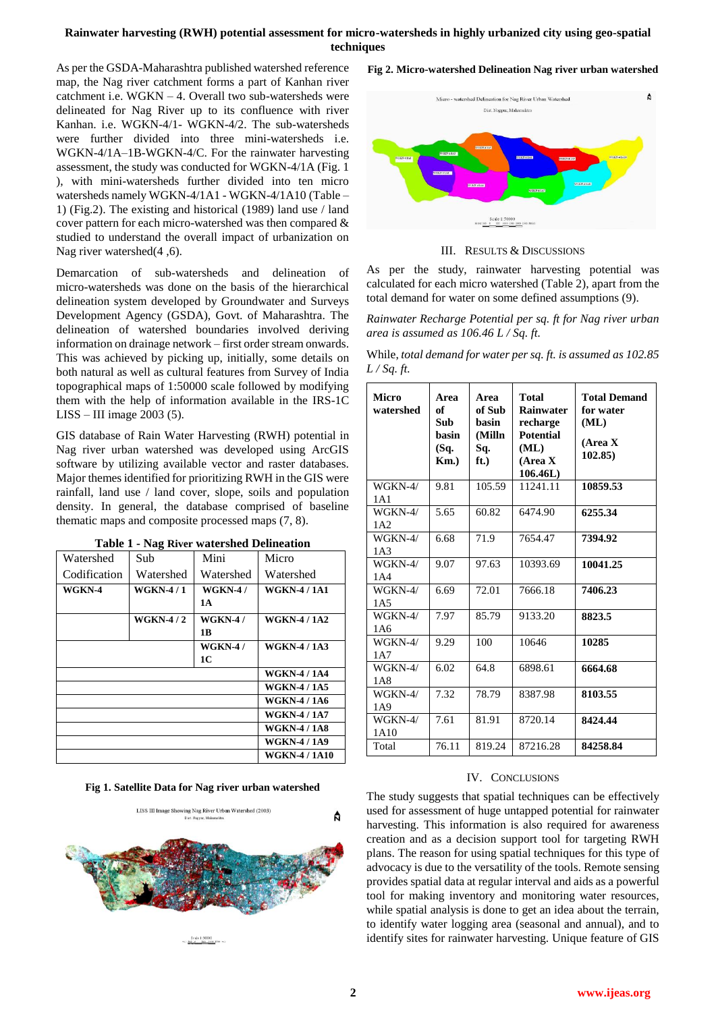# **Rainwater harvesting (RWH) potential assessment for micro-watersheds in highly urbanized city using geo-spatial techniques**

As per the GSDA-Maharashtra published watershed reference map, the Nag river catchment forms a part of Kanhan river catchment i.e. WGKN – 4. Overall two sub-watersheds were delineated for Nag River up to its confluence with river Kanhan. i.e. WGKN-4/1- WGKN-4/2. The sub-watersheds were further divided into three mini-watersheds i.e. WGKN-4/1A–1B-WGKN-4/C. For the rainwater harvesting assessment, the study was conducted for WGKN-4/1A (Fig. 1 ), with mini-watersheds further divided into ten micro watersheds namely WGKN-4/1A1 - WGKN-4/1A10 (Table – 1) (Fig.2). The existing and historical (1989) land use / land cover pattern for each micro-watershed was then compared & studied to understand the overall impact of urbanization on Nag river watershed(4 ,6).

Demarcation of sub-watersheds and delineation of micro-watersheds was done on the basis of the hierarchical delineation system developed by Groundwater and Surveys Development Agency (GSDA), Govt. of Maharashtra. The delineation of watershed boundaries involved deriving information on drainage network – first order stream onwards. This was achieved by picking up, initially, some details on both natural as well as cultural features from Survey of India topographical maps of 1:50000 scale followed by modifying them with the help of information available in the IRS-1C LISS – III image 2003 (5).

GIS database of Rain Water Harvesting (RWH) potential in Nag river urban watershed was developed using ArcGIS software by utilizing available vector and raster databases. Major themes identified for prioritizing RWH in the GIS were rainfall, land use / land cover, slope, soils and population density. In general, the database comprised of baseline thematic maps and composite processed maps (7, 8).

| Table 1 - Ing Kinti waleished Denneation |                 |                |                     |  |  |  |
|------------------------------------------|-----------------|----------------|---------------------|--|--|--|
| Watershed                                | Sub             | Mini           | Micro               |  |  |  |
| Codification                             | Watershed       | Watershed      | Watershed           |  |  |  |
| <b>WGKN-4/1</b><br><b>WGKN-4</b>         |                 | <b>WGKN-4/</b> | <b>WGKN-4/1A1</b>   |  |  |  |
|                                          |                 | 1A             |                     |  |  |  |
|                                          | <b>WGKN-4/2</b> | $WGKN-4/$      | <b>WGKN-4/1A2</b>   |  |  |  |
|                                          |                 | 1B             |                     |  |  |  |
|                                          |                 | $WGKN-4/$      | <b>WGKN-4/1A3</b>   |  |  |  |
|                                          |                 | 1C             |                     |  |  |  |
|                                          |                 |                | <b>WGKN-4/1A4</b>   |  |  |  |
|                                          |                 |                | <b>WGKN-4 / 1A5</b> |  |  |  |
|                                          |                 |                | <b>WGKN-4/1A6</b>   |  |  |  |
|                                          |                 |                | <b>WGKN-4 / 1A7</b> |  |  |  |
|                                          |                 |                | <b>WGKN-4/1A8</b>   |  |  |  |
|                                          |                 |                | <b>WGKN-4/1A9</b>   |  |  |  |
|                                          |                 |                | WGKN-4 / 1A10       |  |  |  |
|                                          |                 |                |                     |  |  |  |

**Table 1 - Nag River watershed Delineation**

**Fig 1. Satellite Data for Nag river urban watershed**



**Fig 2. Micro-watershed Delineation Nag river urban watershed**



III. RESULTS & DISCUSSIONS

As per the study, rainwater harvesting potential was calculated for each micro watershed (Table 2), apart from the total demand for water on some defined assumptions (9).

*Rainwater Recharge Potential per sq. ft for Nag river urban area is assumed as 106.46 L / Sq. ft.*

| While, total demand for water per sq. ft. is assumed as 102.85 |  |  |
|----------------------------------------------------------------|--|--|
| $L/Sq.$ ft.                                                    |  |  |

| <b>Micro</b><br>watershed     | Area<br>of<br>Sub<br>hasin<br>(Sq.<br>Km.) | Area<br>of Sub<br>hasin<br>(Milln<br>Sq.<br>ft.) | Total<br>Rainwater<br>recharge<br><b>Potential</b><br>(ML)<br>(Area X<br>106.46L | <b>Total Demand</b><br>for water<br>(ML)<br>(Area X<br>102.85 |
|-------------------------------|--------------------------------------------|--------------------------------------------------|----------------------------------------------------------------------------------|---------------------------------------------------------------|
| $W$ GKN-4/<br>1A1             | 9.81                                       | 105.59                                           | 11241.11                                                                         | 10859.53                                                      |
| $W$ GKN-4/<br>1A <sub>2</sub> | 5.65                                       | 60.82                                            | 6474.90                                                                          | 6255.34                                                       |
| $W$ GKN-4/<br>1A3             | 6.68                                       | 71.9                                             | 7654.47                                                                          | 7394.92                                                       |
| $W$ GKN-4/<br>1A4             | 9.07                                       | 97.63                                            | 10393.69                                                                         | 10041.25                                                      |
| $W$ GKN-4/<br>1A5             | 6.69                                       | 72.01                                            | 7666.18                                                                          | 7406.23                                                       |
| $W$ GKN-4/<br>1A6             | 7.97                                       | 85.79                                            | 9133.20                                                                          | 8823.5                                                        |
| $W$ GKN-4/<br>1A7             | 9.29                                       | 100                                              | 10646                                                                            | 10285                                                         |
| $W$ GKN-4/<br>1A8             | 6.02                                       | 64.8                                             | 6898.61                                                                          | 6664.68                                                       |
| $W$ GKN-4/<br>1A9             | 7.32                                       | 78.79                                            | 8387.98                                                                          | 8103.55                                                       |
| WGKN-4/<br>1A10               | 7.61                                       | 81.91                                            | 8720.14                                                                          | 8424.44                                                       |
| Total                         | 76.11                                      | 819.24                                           | 87216.28                                                                         | 84258.84                                                      |

## IV. CONCLUSIONS

The study suggests that spatial techniques can be effectively used for assessment of huge untapped potential for rainwater harvesting. This information is also required for awareness creation and as a decision support tool for targeting RWH plans. The reason for using spatial techniques for this type of advocacy is due to the versatility of the tools. Remote sensing provides spatial data at regular interval and aids as a powerful tool for making inventory and monitoring water resources, while spatial analysis is done to get an idea about the terrain, to identify water logging area (seasonal and annual), and to identify sites for rainwater harvesting. Unique feature of GIS